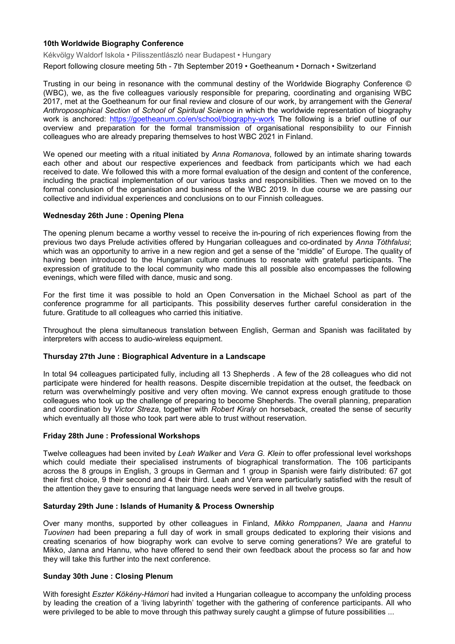## **10th Worldwide Biography Conference**

Kékvölgy Waldorf Iskola • Pilisszentlászló near Budapest • Hungary

Report following closure meeting 5th - 7th September 2019 • Goetheanum • Dornach • Switzerland

Trusting in our being in resonance with the communal destiny of the Worldwide Biography Conference © (WBC), we, as the five colleagues variously responsible for preparing, coordinating and organising WBC 2017, met at the Goetheanum for our final review and closure of our work, by arrangement with the *General Anthroposophical Section* of *School of Spiritual Science* in which the worldwide representation of biography work is anchored: [https://goetheanum.co/en/school/biography](https://goetheanum.co/en/school/biography-work)-work The following is a brief outline of our overview and preparation for the formal transmission of organisational responsibility to our Finnish colleagues who are already preparing themselves to host WBC 2021 in Finland.

We opened our meeting with a ritual initiated by *Anna Romanova*, followed by an intimate sharing towards each other and about our respective experiences and feedback from participants which we had each received to date. We followed this with a more formal evaluation of the design and content of the conference, including the practical implementation of our various tasks and responsibilities. Then we moved on to the formal conclusion of the organisation and business of the WBC 2019. In due course we are passing our collective and individual experiences and conclusions on to our Finnish colleagues.

#### **Wednesday 26th June : Opening Plena**

The opening plenum became a worthy vessel to receive the in-pouring of rich experiences flowing from the previous two days Prelude activities offered by Hungarian colleagues and co-ordinated by *Anna Tóthfalusi*; which was an opportunity to arrive in a new region and get a sense of the "middle" of Europe. The quality of having been introduced to the Hungarian culture continues to resonate with grateful participants. The expression of gratitude to the local community who made this all possible also encompasses the following evenings, which were filled with dance, music and song.

For the first time it was possible to hold an Open Conversation in the Michael School as part of the conference programme for all participants. This possibility deserves further careful consideration in the future. Gratitude to all colleagues who carried this initiative.

Throughout the plena simultaneous translation between English, German and Spanish was facilitated by interpreters with access to audio-wireless equipment.

#### **Thursday 27th June : Biographical Adventure in a Landscape**

In total 94 colleagues participated fully, including all 13 Shepherds . A few of the 28 colleagues who did not participate were hindered for health reasons. Despite discernible trepidation at the outset, the feedback on return was overwhelmingly positive and very often moving. We cannot express enough gratitude to those colleagues who took up the challenge of preparing to become Shepherds. The overall planning, preparation and coordination by *Victor Streza*, together with *Robert Kiraly* on horseback, created the sense of security which eventually all those who took part were able to trust without reservation.

#### **Friday 28th June : Professional Workshops**

Twelve colleagues had been invited by *Leah Walker* and *Vera G. Klein* to offer professional level workshops which could mediate their specialised instruments of biographical transformation. The 106 participants across the 8 groups in English, 3 groups in German and 1 group in Spanish were fairly distributed: 67 got their first choice, 9 their second and 4 their third. Leah and Vera were particularly satisfied with the result of the attention they gave to ensuring that language needs were served in all twelve groups.

#### **Saturday 29th June : Islands of Humanity & Process Ownership**

Over many months, supported by other colleagues in Finland, *Mikko Romppanen*, *Jaana* and *Hannu Tuovinen* had been preparing a full day of work in small groups dedicated to exploring their visions and creating scenarios of how biography work can evolve to serve coming generations? We are grateful to Mikko, Janna and Hannu, who have offered to send their own feedback about the process so far and how they will take this further into the next conference.

# **Sunday 30th June : Closing Plenum**

With foresight *Eszter Kökény-Hámori* had invited a Hungarian colleague to accompany the unfolding process by leading the creation of a 'living labyrinth' together with the gathering of conference participants. All who were privileged to be able to move through this pathway surely caught a glimpse of future possibilities ...